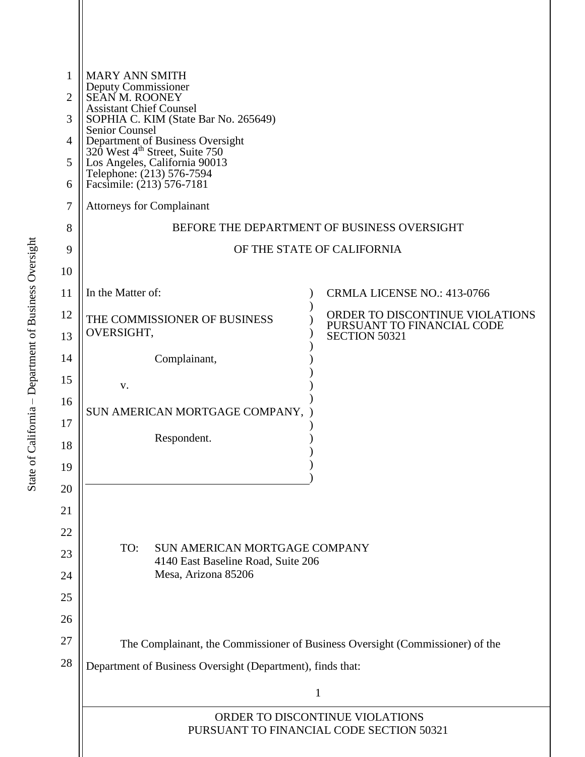| 1                                                          | <b>MARY ANN SMITH</b>                                                                                                                                          |                                                               |  |  |  |
|------------------------------------------------------------|----------------------------------------------------------------------------------------------------------------------------------------------------------------|---------------------------------------------------------------|--|--|--|
| 2                                                          | Deputy Commissioner<br><b>SEAN M. ROONEY</b><br><b>Assistant Chief Counsel</b><br>SOPHIA C. KIM (State Bar No. 265649)                                         |                                                               |  |  |  |
| 3                                                          |                                                                                                                                                                |                                                               |  |  |  |
| 4                                                          | Senior Counsel<br>Department of Business Oversight<br>320 West 4 <sup>th</sup> Street, Suite 750<br>Los Angeles, California 90013<br>Telephone: (213) 576-7594 |                                                               |  |  |  |
| 5                                                          |                                                                                                                                                                |                                                               |  |  |  |
| 6                                                          | Facsimile: (213) 576-7181                                                                                                                                      |                                                               |  |  |  |
| 7                                                          | <b>Attorneys for Complainant</b>                                                                                                                               |                                                               |  |  |  |
| 8                                                          | BEFORE THE DEPARTMENT OF BUSINESS OVERSIGHT                                                                                                                    |                                                               |  |  |  |
| 9                                                          | OF THE STATE OF CALIFORNIA                                                                                                                                     |                                                               |  |  |  |
| 10                                                         |                                                                                                                                                                |                                                               |  |  |  |
| 11                                                         | In the Matter of:                                                                                                                                              | CRMLA LICENSE NO.: 413-0766                                   |  |  |  |
| 12                                                         | THE COMMISSIONER OF BUSINESS                                                                                                                                   | ORDER TO DISCONTINUE VIOLATIONS<br>PURSUANT TO FINANCIAL CODE |  |  |  |
| 13                                                         | OVERSIGHT,                                                                                                                                                     | <b>SECTION 50321</b>                                          |  |  |  |
| 14                                                         | Complainant,                                                                                                                                                   |                                                               |  |  |  |
| 15                                                         | V.                                                                                                                                                             |                                                               |  |  |  |
| 16                                                         | SUN AMERICAN MORTGAGE COMPANY,                                                                                                                                 |                                                               |  |  |  |
| 17                                                         | Respondent.                                                                                                                                                    |                                                               |  |  |  |
| 18                                                         |                                                                                                                                                                |                                                               |  |  |  |
| 19                                                         |                                                                                                                                                                |                                                               |  |  |  |
| 20                                                         |                                                                                                                                                                |                                                               |  |  |  |
| 21                                                         |                                                                                                                                                                |                                                               |  |  |  |
| 22                                                         | TO:<br>SUN AMERICAN MORTGAGE COMPANY                                                                                                                           |                                                               |  |  |  |
| 23                                                         | 4140 East Baseline Road, Suite 206<br>Mesa, Arizona 85206                                                                                                      |                                                               |  |  |  |
| 24<br>25                                                   |                                                                                                                                                                |                                                               |  |  |  |
| 26                                                         |                                                                                                                                                                |                                                               |  |  |  |
| 27                                                         |                                                                                                                                                                |                                                               |  |  |  |
| 28                                                         | The Complainant, the Commissioner of Business Oversight (Commissioner) of the                                                                                  |                                                               |  |  |  |
| Department of Business Oversight (Department), finds that: |                                                                                                                                                                |                                                               |  |  |  |
|                                                            | 1<br>ORDER TO DISCONTINUE VIOLATIONS<br>PURSUANT TO FINANCIAL CODE SECTION 50321                                                                               |                                                               |  |  |  |
|                                                            |                                                                                                                                                                |                                                               |  |  |  |
|                                                            |                                                                                                                                                                |                                                               |  |  |  |